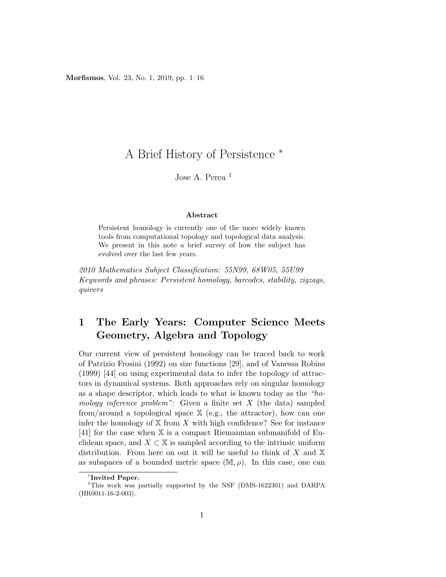Morfismos, Vol. 23, No. 1, 2019, pp. 1–16

# A Brief History of Persistence <sup>∗</sup>

Jose A. Perea<sup>1</sup>

#### Abstract

Persistent homology is currently one of the more widely known tools from computational topology and topological data analysis. We present in this note a brief survey of how the subject has evolved over the last few years.

2010 Mathematics Subject Classification: 55N99, 68W05, 55U99 Keywords and phrases: Persistent homology, barcodes, stability, zigzags, quivers

# 1 The Early Years: Computer Science Meets Geometry, Algebra and Topology

Our current view of persistent homology can be traced back to work of Patrizio Frosini (1992) on size functions [29], and of Vanessa Robins (1999) [44] on using experimental data to infer the topology of attractors in dynamical systems. Both approaches rely on singular homology as a shape descriptor, which leads to what is known today as the "homology inference problem": Given a finite set  $X$  (the data) sampled from/around a topological space  $X$  (e.g., the attractor), how can one infer the homology of  $X$  from X with high confidence? See for instance [41] for the case when X is a compact Riemannian submanifold of Euclidean space, and  $X \subset \mathbb{X}$  is sampled according to the intrinsic uniform distribution. From here on out it will be useful to think of  $X$  and  $X$ as subspaces of a bounded metric space  $(M, \rho)$ . In this case, one can

<sup>∗</sup> Invited Paper.

<sup>1</sup>This work was partially supported by the NSF (DMS-1622301) and DARPA (HR0011-16-2-003).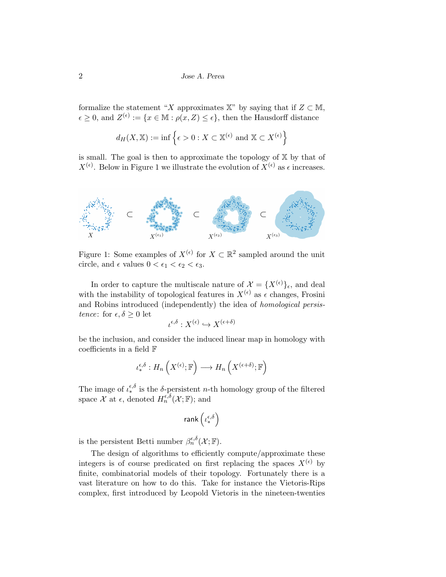formalize the statement "X approximates  $\mathbb{X}$ " by saying that if  $Z \subset \mathbb{M}$ ,  $\epsilon \geq 0$ , and  $Z^{(\epsilon)} := \{x \in \mathbb{M} : \rho(x, Z) \leq \epsilon\}$ , then the Hausdorff distance

$$
d_H(X, \mathbb{X}) := \inf \left\{ \epsilon > 0 : X \subset \mathbb{X}^{(\epsilon)} \text{ and } \mathbb{X} \subset X^{(\epsilon)} \right\}
$$

is small. The goal is then to approximate the topology of  $X$  by that of  $X^{(\epsilon)}$ . Below in Figure 1 we illustrate the evolution of  $X^{(\epsilon)}$  as  $\epsilon$  increases.



Figure 1: Some examples of  $X^{(\epsilon)}$  for  $X \subset \mathbb{R}^2$  sampled around the unit circle, and  $\epsilon$  values  $0 < \epsilon_1 < \epsilon_2 < \epsilon_3$ .

In order to capture the multiscale nature of  $\mathcal{X} = \{X^{(\epsilon)}\}_\epsilon$ , and deal with the instability of topological features in  $X^{(\epsilon)}$  as  $\epsilon$  changes, Frosini and Robins introduced (independently) the idea of homological persistence: for  $\epsilon, \delta \geq 0$  let

$$
\iota^{\epsilon,\delta}:X^{(\epsilon)}\hookrightarrow X^{(\epsilon+\delta)}
$$

be the inclusion, and consider the induced linear map in homology with coefficients in a field F

$$
\iota^{\epsilon,\delta}_* : H_n\left(X^{(\epsilon)}; \mathbb{F}\right) \longrightarrow H_n\left(X^{(\epsilon+\delta)}; \mathbb{F}\right)
$$

The image of  $\iota_{*}^{\epsilon,\delta}$  is the  $\delta$ -persistent *n*-th homology group of the filtered space  $\mathcal X$  at  $\epsilon$ , denoted  $H_n^{\epsilon,\delta}(\mathcal X;\mathbb F)$ ; and

$$
\mathsf{rank}\left(\iota_*^{\epsilon,\delta}\right)
$$

is the persistent Betti number  $\beta_n^{\epsilon,\delta}(\mathcal{X}; \mathbb{F})$ .

The design of algorithms to efficiently compute/approximate these integers is of course predicated on first replacing the spaces  $X^{(\epsilon)}$  by finite, combinatorial models of their topology. Fortunately there is a vast literature on how to do this. Take for instance the Vietoris-Rips complex, first introduced by Leopold Vietoris in the nineteen-twenties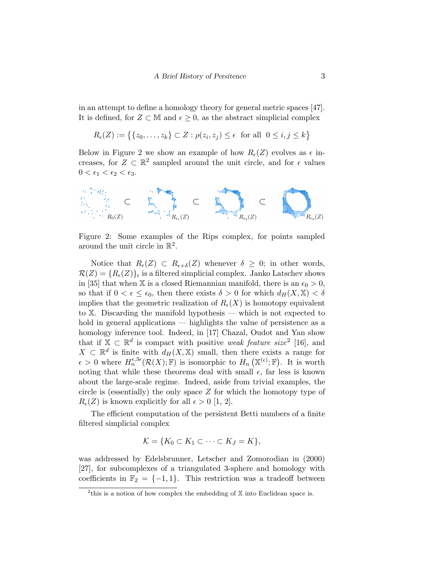in an attempt to define a homology theory for general metric spaces [47]. It is defined, for  $Z \subset M$  and  $\epsilon \geq 0$ , as the abstract simplicial complex

$$
R_{\epsilon}(Z) := \{ \{ z_0, \ldots, z_k \} \subset Z : \rho(z_i, z_j) \le \epsilon \text{ for all } 0 \le i, j \le k \}
$$

Below in Figure 2 we show an example of how  $R_{\epsilon}(Z)$  evolves as  $\epsilon$  increases, for  $Z \subset \mathbb{R}^2$  sampled around the unit circle, and for  $\epsilon$  values  $0 < \epsilon_1 < \epsilon_2 < \epsilon_3$ .



Figure 2: Some examples of the Rips complex, for points sampled around the unit circle in  $\mathbb{R}^2$ .

Notice that  $R_{\epsilon}(Z) \subset R_{\epsilon+\delta}(Z)$  whenever  $\delta \geq 0$ ; in other words,  $\mathcal{R}(Z) = \{R_{\epsilon}(Z)\}\epsilon$  is a filtered simplicial complex. Janko Latschev shows in [35] that when X is a closed Riemannian manifold, there is an  $\epsilon_0 > 0$ , so that if  $0 < \epsilon \leq \epsilon_0$ , then there exists  $\delta > 0$  for which  $d_H(X, X) < \delta$ implies that the geometric realization of  $R_{\epsilon}(X)$  is homotopy equivalent to X. Discarding the manifold hypothesis — which is not expected to hold in general applications — highlights the value of persistence as a homology inference tool. Indeed, in [17] Chazal, Oudot and Yan show that if  $X \subset \mathbb{R}^d$  is compact with positive weak feature size<sup>2</sup> [16], and  $X \subset \mathbb{R}^d$  is finite with  $d_H(X, X)$  small, then there exists a range for  $\epsilon > 0$  where  $H_n^{\epsilon,3\epsilon}(\mathcal{R}(X);\mathbb{F})$  is isomorphic to  $H_n(\mathbb{X}^{(\epsilon)};\mathbb{F})$ . It is worth noting that while these theorems deal with small  $\epsilon$ , far less is known about the large-scale regime. Indeed, aside from trivial examples, the circle is (essentially) the only space Z for which the homotopy type of  $R_{\epsilon}(Z)$  is known explicitly for all  $\epsilon > 0$  [1, 2].

The efficient computation of the persistent Betti numbers of a finite filtered simplicial complex

$$
\mathcal{K} = \{K_0 \subset K_1 \subset \cdots \subset K_J = K\},\
$$

was addressed by Edelsbrunner, Letscher and Zomorodian in (2000) [27], for subcomplexes of a triangulated 3-sphere and homology with coefficients in  $\mathbb{F}_2 = \{-1, 1\}$ . This restriction was a tradeoff between

<sup>&</sup>lt;sup>2</sup>this is a notion of how complex the embedding of  $X$  into Euclidean space is.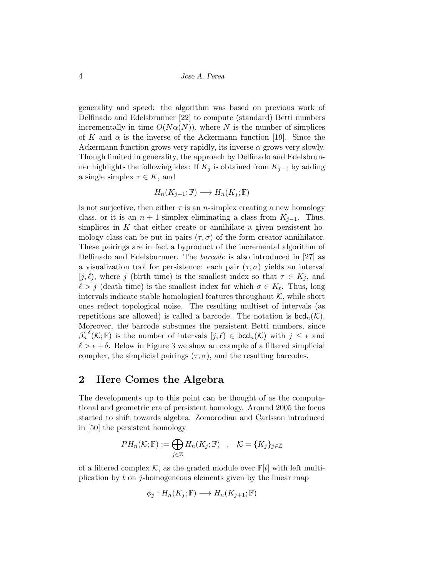generality and speed: the algorithm was based on previous work of Delfinado and Edelsbrunner [22] to compute (standard) Betti numbers incrementally in time  $O(N\alpha(N))$ , where N is the number of simplices of K and  $\alpha$  is the inverse of the Ackermann function [19]. Since the Ackermann function grows very rapidly, its inverse  $\alpha$  grows very slowly. Though limited in generality, the approach by Delfinado and Edelsbrunner highlights the following idea: If  $K_j$  is obtained from  $K_{j-1}$  by adding a single simplex  $\tau \in K$ , and

$$
H_n(K_{j-1}; \mathbb{F}) \longrightarrow H_n(K_j; \mathbb{F})
$$

is not surjective, then either  $\tau$  is an *n*-simplex creating a new homology class, or it is an  $n + 1$ -simplex eliminating a class from  $K_{j-1}$ . Thus, simplices in  $K$  that either create or annihilate a given persistent homology class can be put in pairs  $(\tau, \sigma)$  of the form creator-annihilator. These pairings are in fact a byproduct of the incremental algorithm of Delfinado and Edelsburnner. The barcode is also introduced in [27] as a visualization tool for persistence: each pair  $(\tau, \sigma)$  yields an interval  $(j, \ell)$ , where j (birth time) is the smallest index so that  $\tau \in K_j$ , and  $\ell > j$  (death time) is the smallest index for which  $\sigma \in K_{\ell}$ . Thus, long intervals indicate stable homological features throughout  $K$ , while short ones reflect topological noise. The resulting multiset of intervals (as repetitions are allowed) is called a barcode. The notation is  $\mathsf{bcd}_n(\mathcal{K})$ . Moreover, the barcode subsumes the persistent Betti numbers, since  $\beta_n^{\epsilon,\delta}(\mathcal{K};\mathbb{F})$  is the number of intervals  $[j,\ell)\in \mathsf{bcd}_n(\mathcal{K})$  with  $j\leq \epsilon$  and  $\ell > \epsilon + \delta$ . Below in Figure 3 we show an example of a filtered simplicial complex, the simplicial pairings  $(\tau, \sigma)$ , and the resulting barcodes.

## 2 Here Comes the Algebra

The developments up to this point can be thought of as the computational and geometric era of persistent homology. Around 2005 the focus started to shift towards algebra. Zomorodian and Carlsson introduced in [50] the persistent homology

$$
PH_n(\mathcal{K}; \mathbb{F}) := \bigoplus_{j \in \mathbb{Z}} H_n(K_j; \mathbb{F}) \quad , \quad \mathcal{K} = \{K_j\}_{j \in \mathbb{Z}}
$$

of a filtered complex K, as the graded module over  $\mathbb{F}[t]$  with left multiplication by  $t$  on  $j$ -homogeneous elements given by the linear map

$$
\phi_j: H_n(K_j; \mathbb{F}) \longrightarrow H_n(K_{j+1}; \mathbb{F})
$$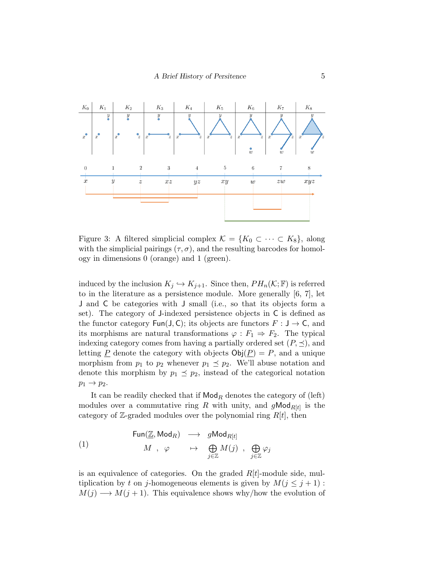

Figure 3: A filtered simplicial complex  $\mathcal{K} = \{K_0 \subset \cdots \subset K_8\}$ , along with the simplicial pairings  $(\tau, \sigma)$ , and the resulting barcodes for homology in dimensions 0 (orange) and 1 (green).

induced by the inclusion  $K_j \hookrightarrow K_{j+1}$ . Since then,  $PH_n(\mathcal{K}; \mathbb{F})$  is referred to in the literature as a persistence module. More generally [6, 7], let J and C be categories with J small (i.e., so that its objects form a set). The category of J-indexed persistence objects in C is defined as the functor category  $\text{Fun}(J, C)$ ; its objects are functors  $F : J \to C$ , and its morphisms are natural transformations  $\varphi : F_1 \Rightarrow F_2$ . The typical indexing category comes from having a partially ordered set  $(P, \leq)$ , and letting P denote the category with objects  $\text{Obj}(P) = P$ , and a unique morphism from  $p_1$  to  $p_2$  whenever  $p_1 \preceq p_2$ . We'll abuse notation and denote this morphism by  $p_1 \preceq p_2$ , instead of the categorical notation  $p_1 \rightarrow p_2$ .

It can be readily checked that if  $\mathsf{Mod}_R$  denotes the category of (left) modules over a commutative ring R with unity, and  $g\mathsf{Mod}_{R[t]}$  is the category of  $\mathbb{Z}$ -graded modules over the polynomial ring  $R[t]$ , then

(1) 
$$
\operatorname{Fun}(\underline{\mathbb{Z}}, \operatorname{Mod}_R) \longrightarrow g\operatorname{Mod}_{R[t]}
$$

$$
M, \varphi \mapsto \bigoplus_{j\in \mathbb{Z}} M(j), \bigoplus_{j\in \mathbb{Z}} \varphi_j
$$

is an equivalence of categories. On the graded  $R[t]$ -module side, multiplication by t on j-homogeneous elements is given by  $M(j \leq j + 1)$ :  $M(j) \longrightarrow M(j + 1)$ . This equivalence shows why/how the evolution of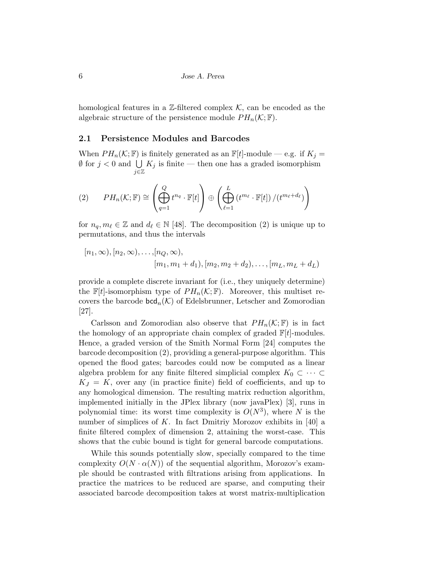homological features in a  $\mathbb{Z}$ -filtered complex  $\mathcal{K}$ , can be encoded as the algebraic structure of the persistence module  $PH_n(\mathcal{K}; \mathbb{F})$ .

### 2.1 Persistence Modules and Barcodes

When  $PH_n(\mathcal{K}; \mathbb{F})$  is finitely generated as an  $\mathbb{F}[t]$ -module — e.g. if  $K_i =$  $\emptyset$  for  $j < 0$  and  $\bigcup K_j$  is finite — then one has a graded isomorphism j∈Z

$$
(2) \qquad PH_n(\mathcal{K}; \mathbb{F}) \cong \left(\bigoplus_{q=1}^Q t^{n_q} \cdot \mathbb{F}[t]\right) \oplus \left(\bigoplus_{\ell=1}^L \left(t^{m_\ell} \cdot \mathbb{F}[t]\right) / \left(t^{m_\ell + d_\ell}\right)\right)
$$

for  $n_q, m_\ell \in \mathbb{Z}$  and  $d_\ell \in \mathbb{N}$  [48]. The decomposition (2) is unique up to permutations, and thus the intervals

$$
[n_1, \infty), [n_2, \infty), \ldots, [n_Q, \infty),
$$
  

$$
[m_1, m_1 + d_1), [m_2, m_2 + d_2), \ldots, [m_L, m_L + d_L)
$$

provide a complete discrete invariant for (i.e., they uniquely determine) the  $\mathbb{F}[t]$ -isomorphism type of  $PH_n(\mathcal{K}; \mathbb{F})$ . Moreover, this multiset recovers the barcode  $\mathsf{bcd}_n(\mathcal{K})$  of Edelsbrunner, Letscher and Zomorodian [27].

Carlsson and Zomorodian also observe that  $PH_n(\mathcal{K};\mathbb{F})$  is in fact the homology of an appropriate chain complex of graded  $\mathbb{F}[t]$ -modules. Hence, a graded version of the Smith Normal Form [24] computes the barcode decomposition (2), providing a general-purpose algorithm. This opened the flood gates; barcodes could now be computed as a linear algebra problem for any finite filtered simplicial complex  $K_0 \subset \cdots \subset$  $K_J = K$ , over any (in practice finite) field of coefficients, and up to any homological dimension. The resulting matrix reduction algorithm, implemented initially in the JPlex library (now javaPlex) [3], runs in polynomial time: its worst time complexity is  $O(N^3)$ , where N is the number of simplices of  $K$ . In fact Dmitriy Morozov exhibits in [40] a finite filtered complex of dimension 2, attaining the worst-case. This shows that the cubic bound is tight for general barcode computations.

While this sounds potentially slow, specially compared to the time complexity  $O(N \cdot \alpha(N))$  of the sequential algorithm, Morozov's example should be contrasted with filtrations arising from applications. In practice the matrices to be reduced are sparse, and computing their associated barcode decomposition takes at worst matrix-multiplication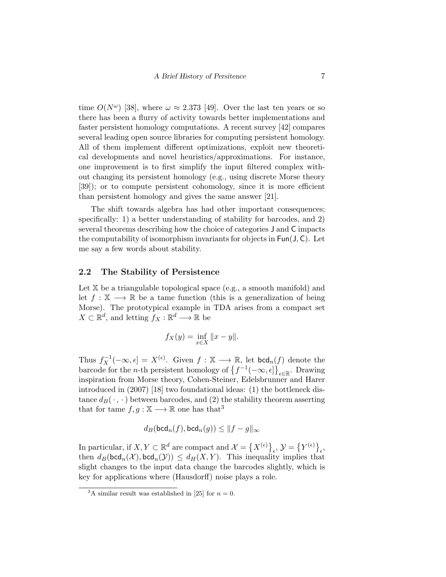time  $O(N^{\omega})$  [38], where  $\omega \approx 2.373$  [49]. Over the last ten years or so there has been a flurry of activity towards better implementations and faster persistent homology computations. A recent survey [42] compares several leading open source libraries for computing persistent homology. All of them implement different optimizations, exploit new theoretical developments and novel heuristics/approximations. For instance, one improvement is to first simplify the input filtered complex without changing its persistent homology (e.g., using discrete Morse theory [39]); or to compute persistent cohomology, since it is more efficient than persistent homology and gives the same answer [21].

The shift towards algebra has had other important consequences; specifically: 1) a better understanding of stability for barcodes, and 2) several theorems describing how the choice of categories J and C impacts the computability of isomorphism invariants for objects in  $Fun(J, C)$ . Let me say a few words about stability.

### 2.2 The Stability of Persistence

Let X be a triangulable topological space (e.g., a smooth manifold) and let  $f: \mathbb{X} \longrightarrow \mathbb{R}$  be a tame function (this is a generalization of being Morse). The prototypical example in TDA arises from a compact set  $X \subset \mathbb{R}^d$ , and letting  $f_X : \mathbb{R}^d \longrightarrow \mathbb{R}$  be

$$
f_X(y) = \inf_{x \in X} ||x - y||.
$$

Thus  $f_X^{-1}(-\infty, \epsilon] = X^{(\epsilon)}$ . Given  $f : \mathbb{X} \longrightarrow \mathbb{R}$ , let  $\mathsf{bcd}_n(f)$  denote the barcode for the *n*-th persistent homology of  $\{f^{-1}(-\infty, \epsilon]\}_{\epsilon \in \mathbb{R}}$ . Drawing inspiration from Morse theory, Cohen-Steiner, Edelsbrunner and Harer introduced in (2007) [18] two foundational ideas: (1) the bottleneck distance  $d_B(\cdot, \cdot)$  between barcodes, and (2) the stability theorem asserting that for tame  $f, g : \mathbb{X} \longrightarrow \mathbb{R}$  one has that<sup>3</sup>

$$
d_B(\mathsf{bcd}_n(f), \mathsf{bcd}_n(g)) \leq \|f - g\|_{\infty}
$$

In particular, if  $X, Y \subset \mathbb{R}^d$  are compact and  $\mathcal{X} = \{X^{(\epsilon)}\}_\epsilon, \mathcal{Y} = \{Y^{(\epsilon)}\}_\epsilon$ , then  $d_B(\text{bcd}_n(\mathcal{X}), \text{bcd}_n(\mathcal{Y})) \leq d_H(X, Y)$ . This inequality implies that slight changes to the input data change the barcodes slightly, which is key for applications where (Hausdorff) noise plays a role.

 $3A$  similar result was established in [25] for  $n = 0$ .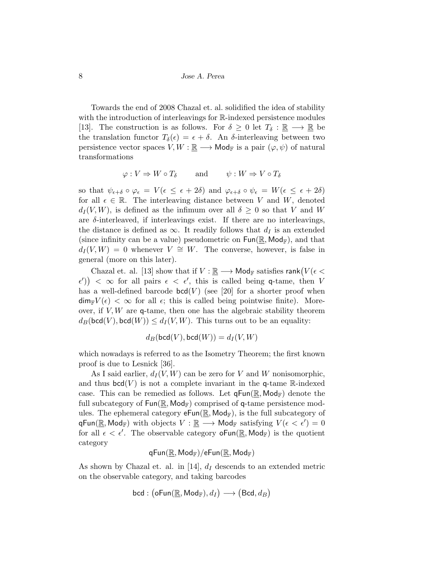Towards the end of 2008 Chazal et. al. solidified the idea of stability with the introduction of interleavings for R-indexed persistence modules [13]. The construction is as follows. For  $\delta \geq 0$  let  $T_{\delta} : \mathbb{R} \longrightarrow \mathbb{R}$  be the translation functor  $T_{\delta}(\epsilon) = \epsilon + \delta$ . An  $\delta$ -interleaving between two persistence vector spaces  $V, W : \mathbb{R} \longrightarrow \mathsf{Mod}_{\mathbb{F}}$  is a pair  $(\varphi, \psi)$  of natural transformations

$$
\varphi: V \Rightarrow W \circ T_{\delta} \qquad \text{and} \qquad \psi: W \Rightarrow V \circ T_{\delta}
$$

so that  $\psi_{\epsilon+\delta} \circ \varphi_{\epsilon} = V(\epsilon \leq \epsilon + 2\delta)$  and  $\varphi_{\epsilon+\delta} \circ \psi_{\epsilon} = W(\epsilon \leq \epsilon + 2\delta)$ for all  $\epsilon \in \mathbb{R}$ . The interleaving distance between V and W, denoted  $d_I(V, W)$ , is defined as the infimum over all  $\delta \geq 0$  so that V and W are  $\delta$ -interleaved, if interleavings exist. If there are no interleavings, the distance is defined as  $\infty$ . It readily follows that  $d_I$  is an extended (since infinity can be a value) pseudometric on  $\text{Fun}(\mathbb{R}, \text{Mod}_{\mathbb{F}})$ , and that  $d_I(V, W) = 0$  whenever  $V \cong W$ . The converse, however, is false in general (more on this later).

Chazal et. al. [13] show that if  $V : \mathbb{R} \longrightarrow \mathsf{Mod}_{\mathbb{F}}$  satisfies rank $(V(\epsilon <$  $\epsilon'$ )  $\epsilon$   $\infty$  for all pairs  $\epsilon$   $\epsilon'$ , this is called being q-tame, then V has a well-defined barcode  $\mathsf{bcd}(V)$  (see [20] for a shorter proof when  $\dim_{\mathbb{F}} V(\epsilon) < \infty$  for all  $\epsilon$ ; this is called being pointwise finite). Moreover, if  $V, W$  are q-tame, then one has the algebraic stability theorem  $d_B(\text{bcd}(V), \text{bcd}(W)) \leq d_I(V, W)$ . This turns out to be an equality:

$$
d_B(\mathsf{bcd}(V), \mathsf{bcd}(W)) = d_I(V, W)
$$

which nowadays is referred to as the Isometry Theorem; the first known proof is due to Lesnick [36].

As I said earlier,  $d_I(V, W)$  can be zero for V and W nonisomorphic, and thus  $\mathsf{bcd}(V)$  is not a complete invariant in the q-tame R-indexed case. This can be remedied as follows. Let  $\mathsf{qFun}(\mathbb{R}, \mathsf{Mod}_{\mathbb{F}})$  denote the full subcategory of  $\text{Fun}(\mathbb{R}, \text{Mod}_{\mathbb{F}})$  comprised of q-tame persistence modules. The ephemeral category  $eFun(\mathbb{R}, Mod_{\mathbb{F}})$ , is the full subcategory of  $\mathsf{qFun}(\mathbb{R}, \mathsf{Mod}_{\mathbb{F}})$  with objects  $V : \mathbb{R} \longrightarrow \mathsf{Mod}_{\mathbb{F}}$  satisfying  $V(\epsilon < \epsilon') = 0$ for all  $\epsilon < \epsilon'$ . The observable category **oFun**( $\mathbb{R}$ , Mod<sub>F)</sub> is the quotient category

$$
qFun(\mathbb{R}, Mod_{\mathbb{F}})/eFun(\mathbb{R}, Mod_{\mathbb{F}})
$$

As shown by Chazal et. al. in [14],  $d_I$  descends to an extended metric on the observable category, and taking barcodes

$$
\mathsf{bcd} : \big(\mathsf{oFun}(\underline{\mathbb{R}}, \mathsf{Mod}_{\mathbb{F}}), d_I\big) \longrightarrow \big(\mathsf{Bcd}, d_B\big)
$$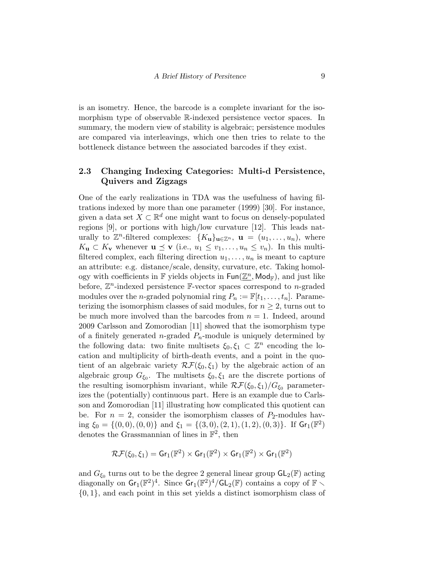is an isometry. Hence, the barcode is a complete invariant for the isomorphism type of observable R-indexed persistence vector spaces. In summary, the modern view of stability is algebraic; persistence modules are compared via interleavings, which one then tries to relate to the bottleneck distance between the associated barcodes if they exist.

## 2.3 Changing Indexing Categories: Multi-d Persistence, Quivers and Zigzags

One of the early realizations in TDA was the usefulness of having filtrations indexed by more than one parameter (1999) [30]. For instance, given a data set  $X \subset \mathbb{R}^d$  one might want to focus on densely-populated regions [9], or portions with high/low curvature [12]. This leads naturally to  $\mathbb{Z}^n$ -filtered complexes:  $\{K_{\mathbf{u}}\}_{\mathbf{u}\in\mathbb{Z}^n}$ ,  $\mathbf{u} = (u_1, \ldots, u_n)$ , where  $K_{\mathbf{u}} \subset K_{\mathbf{v}}$  whenever  $\mathbf{u} \preceq \mathbf{v}$  (i.e.,  $u_1 \leq v_1, \ldots, u_n \leq v_n$ ). In this multifiltered complex, each filtering direction  $u_1, \ldots, u_n$  is meant to capture an attribute: e.g. distance/scale, density, curvature, etc. Taking homology with coefficients in  $\mathbb F$  yields objects in  $\text{Fun}(\underline{\mathbb{Z}^n}, \text{Mod}_{\mathbb{F}})$ , and just like before,  $\mathbb{Z}^n$ -indexed persistence  $\mathbb{F}\text{-vector spaces correspond to }n\text{-graded}$ modules over the *n*-graded polynomial ring  $P_n := \mathbb{F}[t_1, \ldots, t_n]$ . Parameterizing the isomorphism classes of said modules, for  $n \geq 2$ , turns out to be much more involved than the barcodes from  $n = 1$ . Indeed, around 2009 Carlsson and Zomorodian [11] showed that the isomorphism type of a finitely generated *n*-graded  $P_n$ -module is uniquely determined by the following data: two finite multisets  $\xi_0, \xi_1 \subset \mathbb{Z}^n$  encoding the location and multiplicity of birth-death events, and a point in the quotient of an algebraic variety  $\mathcal{RF}(\xi_0,\xi_1)$  by the algebraic action of an algebraic group  $G_{\xi_0}$ . The multisets  $\xi_0, \xi_1$  are the discrete portions of the resulting isomorphism invariant, while  $\mathcal{RF}(\xi_0,\xi_1)/G_{\xi_0}$  parameterizes the (potentially) continuous part. Here is an example due to Carlsson and Zomorodian [11] illustrating how complicated this quotient can be. For  $n = 2$ , consider the isomorphism classes of  $P_2$ -modules having  $\xi_0 = \{(0,0), (0,0)\}\$  and  $\xi_1 = \{(3,0), (2,1), (1,2), (0,3)\}\$ . If  $\mathsf{Gr}_1(\mathbb{F}^2)$ denotes the Grassmannian of lines in  $\mathbb{F}^2$ , then

$$
\mathcal{RF}(\xi_0,\xi_1) = \mathsf{Gr}_1(\mathbb{F}^2) \times \mathsf{Gr}_1(\mathbb{F}^2) \times \mathsf{Gr}_1(\mathbb{F}^2) \times \mathsf{Gr}_1(\mathbb{F}^2)
$$

and  $G_{\xi_0}$  turns out to be the degree 2 general linear group  $\mathsf{GL}_2(\mathbb{F})$  acting diagonally on  $\mathsf{Gr}_1(\mathbb{F}^2)^4$ . Since  $\mathsf{Gr}_1(\mathbb{F}^2)^4/\mathsf{GL}_2(\mathbb{F})$  contains a copy of  $\mathbb{F} \setminus$  $\{0, 1\}$ , and each point in this set yields a distinct isomorphism class of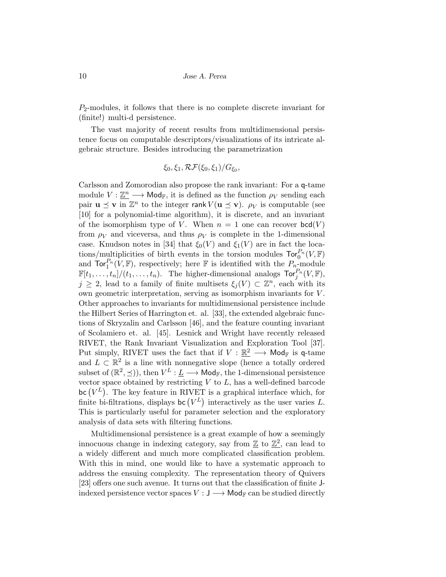$P_2$ -modules, it follows that there is no complete discrete invariant for (finite!) multi-d persistence.

The vast majority of recent results from multidimensional persistence focus on computable descriptors/visualizations of its intricate algebraic structure. Besides introducing the parametrization

$$
\xi_0, \xi_1, \mathcal{RF}(\xi_0, \xi_1)/G_{\xi_0},
$$

Carlsson and Zomorodian also propose the rank invariant: For a q-tame module  $V: \underline{\mathbb{Z}^n} \longrightarrow \text{Mod}_{\mathbb{F}}$ , it is defined as the function  $\rho_V$  sending each pair  $\mathbf{u} \preceq \mathbf{v}$  in  $\mathbb{Z}^n$  to the integer rank  $V(\mathbf{u} \preceq \mathbf{v})$ .  $\rho_V$  is computable (see [10] for a polynomial-time algorithm), it is discrete, and an invariant of the isomorphism type of V. When  $n = 1$  one can recover  $\text{bcd}(V)$ from  $\rho_V$  and viceversa, and thus  $\rho_V$  is complete in the 1-dimensional case. Knudson notes in [34] that  $\xi_0(V)$  and  $\xi_1(V)$  are in fact the locations/multiplicities of birth events in the torsion modules  $\operatorname{\mathsf{Tor}}_0^{P_n}(V,\mathbb{F})$ and  $\operatorname{Tor}^{P_n}_1(V,\mathbb{F})$ , respectively; here  $\mathbb F$  is identified with the  $P_n$ -module  $\mathbb{F}[t_1,\ldots,t_n]/(t_1,\ldots,t_n)$ . The higher-dimensional analogs  $\text{Tor}_j^{P_n}(V,\mathbb{F}),$  $j \geq 2$ , lead to a family of finite multisets  $\xi_j(V) \subset \mathbb{Z}^n$ , each with its own geometric interpretation, serving as isomorphism invariants for V . Other approaches to invariants for multidimensional persistence include the Hilbert Series of Harrington et. al. [33], the extended algebraic functions of Skryzalin and Carlsson [46], and the feature counting invariant of Scolamiero et. al. [45]. Lesnick and Wright have recently released RIVET, the Rank Invariant Visualization and Exploration Tool [37]. Put simply, RIVET uses the fact that if  $V : \mathbb{R}^2 \longrightarrow \mathsf{Mod}_{\mathbb{F}}$  is q-tame and  $L \subset \mathbb{R}^2$  is a line with nonnegative slope (hence a totally ordered subset of  $(\mathbb{R}^2, \preceq)$ ), then  $V^L : \underline{L} \longrightarrow \mathsf{Mod}_{\mathbb{F}}$ , the 1-dimensional persistence vector space obtained by restricting  $V$  to  $L$ , has a well-defined barcode bc  $(V^L)$ . The key feature in RIVET is a graphical interface which, for finite bi-filtrations, displays bc  $(V^L)$  interactively as the user varies L. This is particularly useful for parameter selection and the exploratory analysis of data sets with filtering functions.

Multidimensional persistence is a great example of how a seemingly innocuous change in indexing category, say from  $\mathbb{Z}$  to  $\mathbb{Z}_2^2$ , can lead to a widely different and much more complicated classification problem. With this in mind, one would like to have a systematic approach to address the ensuing complexity. The representation theory of Quivers [23] offers one such avenue. It turns out that the classification of finite Jindexed persistence vector spaces  $V : J \longrightarrow \mathsf{Mod}_{\mathbb{F}}$  can be studied directly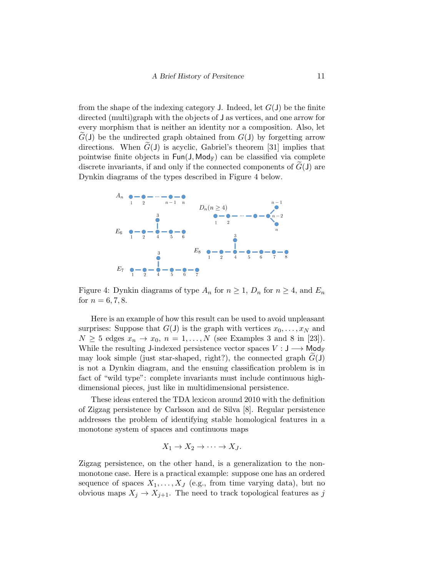from the shape of the indexing category  $J$ . Indeed, let  $G(J)$  be the finite directed (multi)graph with the objects of J as vertices, and one arrow for every morphism that is neither an identity nor a composition. Also, let  $G(J)$  be the undirected graph obtained from  $G(J)$  by forgetting arrow directions. When  $G(J)$  is acyclic, Gabriel's theorem [31] implies that pointwise finite objects in  $Fun(J, Mod_{\mathbb{F}})$  can be classified via complete discrete invariants, if and only if the connected components of  $G(J)$  are Dynkin diagrams of the types described in Figure 4 below.



Figure 4: Dynkin diagrams of type  $A_n$  for  $n \geq 1$ ,  $D_n$  for  $n \geq 4$ , and  $E_n$ for  $n = 6, 7, 8$ .

Here is an example of how this result can be used to avoid unpleasant surprises: Suppose that  $G(J)$  is the graph with vertices  $x_0, \ldots, x_N$  and  $N \geq 5$  edges  $x_n \to x_0$ ,  $n = 1, ..., N$  (see Examples 3 and 8 in [23]). While the resulting J-indexed persistence vector spaces  $V : J \longrightarrow \mathsf{Mod}_{\mathbb{F}}$ may look simple (just star-shaped, right?), the connected graph  $G(J)$ is not a Dynkin diagram, and the ensuing classification problem is in fact of "wild type": complete invariants must include continuous highdimensional pieces, just like in multidimensional persistence.

These ideas entered the TDA lexicon around 2010 with the definition of Zigzag persistence by Carlsson and de Silva [8]. Regular persistence addresses the problem of identifying stable homological features in a monotone system of spaces and continuous maps

$$
X_1 \to X_2 \to \cdots \to X_J.
$$

Zigzag persistence, on the other hand, is a generalization to the nonmonotone case. Here is a practical example: suppose one has an ordered sequence of spaces  $X_1, \ldots, X_J$  (e.g., from time varying data), but no obvious maps  $X_j \to X_{j+1}$ . The need to track topological features as j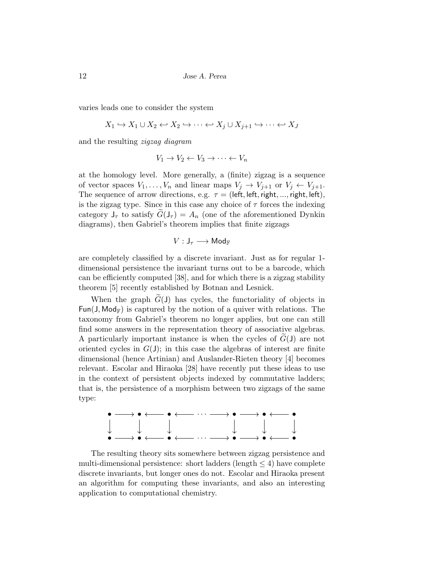varies leads one to consider the system

$$
X_1 \hookrightarrow X_1 \cup X_2 \hookleftarrow X_2 \hookrightarrow \cdots \hookleftarrow X_j \cup X_{j+1} \hookrightarrow \cdots \hookleftarrow X_J
$$

and the resulting zigzag diagram

$$
V_1 \to V_2 \leftarrow V_3 \to \cdots \leftarrow V_n
$$

at the homology level. More generally, a (finite) zigzag is a sequence of vector spaces  $V_1, \ldots, V_n$  and linear maps  $V_j \rightarrow V_{j+1}$  or  $V_j \leftarrow V_{j+1}$ . The sequence of arrow directions, e.g.  $\tau = (left$ , left, right, ..., right, left), is the zigzag type. Since in this case any choice of  $\tau$  forces the indexing category  $J_{\tau}$  to satisfy  $G(J_{\tau}) = A_n$  (one of the aforementioned Dynkin diagrams), then Gabriel's theorem implies that finite zigzags

$$
V:\mathsf{J}_\tau\longrightarrow \mathsf{Mod}_\mathbb{F}
$$

are completely classified by a discrete invariant. Just as for regular 1 dimensional persistence the invariant turns out to be a barcode, which can be efficiently computed [38], and for which there is a zigzag stability theorem [5] recently established by Botnan and Lesnick.

When the graph  $\tilde{G}(J)$  has cycles, the functoriality of objects in  $Fun(J, Mod_{\mathbb{F}})$  is captured by the notion of a quiver with relations. The taxonomy from Gabriel's theorem no longer applies, but one can still find some answers in the representation theory of associative algebras. A particularly important instance is when the cycles of  $G(\mathsf{J})$  are not oriented cycles in  $G(J)$ ; in this case the algebras of interest are finite dimensional (hence Artinian) and Auslander-Rieten theory [4] becomes relevant. Escolar and Hiraoka [28] have recently put these ideas to use in the context of persistent objects indexed by commutative ladders; that is, the persistence of a morphism between two zigzags of the same type:



The resulting theory sits somewhere between zigzag persistence and multi-dimensional persistence: short ladders (length  $\leq 4$ ) have complete discrete invariants, but longer ones do not. Escolar and Hiraoka present an algorithm for computing these invariants, and also an interesting application to computational chemistry.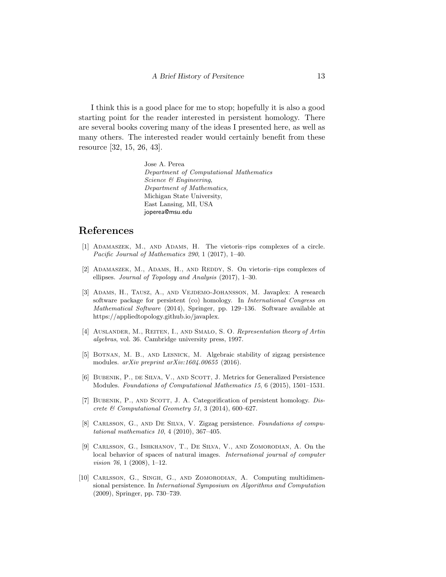I think this is a good place for me to stop; hopefully it is also a good starting point for the reader interested in persistent homology. There are several books covering many of the ideas I presented here, as well as many others. The interested reader would certainly benefit from these resource [32, 15, 26, 43].

> Jose A. Perea Department of Computational Mathematics Science & Engineering, Department of Mathematics, Michigan State University, East Lansing, MI, USA joperea@msu.edu

## References

- [1] Adamaszek, M., and Adams, H. The vietoris–rips complexes of a circle. Pacific Journal of Mathematics 290, 1 (2017), 1–40.
- [2] ADAMASZEK, M., ADAMS, H., AND REDDY, S. On vietoris–rips complexes of ellipses. Journal of Topology and Analysis (2017), 1–30.
- [3] Adams, H., Tausz, A., and Vejdemo-Johansson, M. Javaplex: A research software package for persistent (co) homology. In International Congress on Mathematical Software (2014), Springer, pp. 129–136. Software available at https://appliedtopology.github.io/javaplex.
- [4] Auslander, M., Reiten, I., and Smalo, S. O. Representation theory of Artin algebras, vol. 36. Cambridge university press, 1997.
- [5] BOTNAN, M. B., AND LESNICK, M. Algebraic stability of zigzag persistence modules. arXiv preprint arXiv:1604.00655 (2016).
- [6] BUBENIK, P., DE SILVA, V., AND SCOTT, J. Metrics for Generalized Persistence Modules. Foundations of Computational Mathematics 15, 6 (2015), 1501–1531.
- [7] BUBENIK, P., AND SCOTT, J. A. Categorification of persistent homology. Discrete  $\mathcal C$  Computational Geometry 51, 3 (2014), 600–627.
- [8] Carlsson, G., and De Silva, V. Zigzag persistence. Foundations of computational mathematics 10, 4 (2010), 367–405.
- [9] Carlsson, G., Ishkhanov, T., De Silva, V., and Zomorodian, A. On the local behavior of spaces of natural images. International journal of computer vision 76, 1 (2008), 1–12.
- [10] CARLSSON, G., SINGH, G., AND ZOMORODIAN, A. Computing multidimensional persistence. In International Symposium on Algorithms and Computation (2009), Springer, pp. 730–739.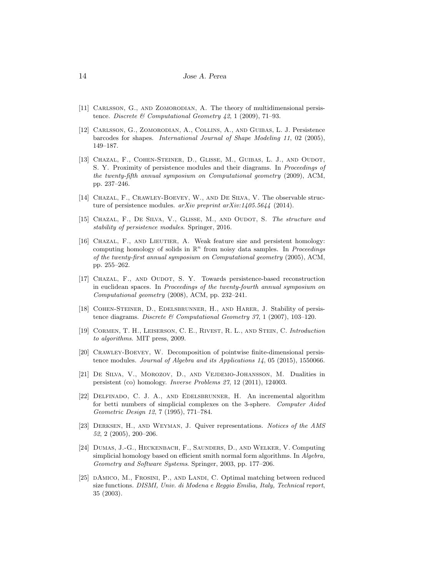- [11] CARLSSON, G., AND ZOMORODIAN, A. The theory of multidimensional persistence. Discrete & Computational Geometry  $42, 1$  (2009), 71–93.
- [12] Carlsson, G., Zomorodian, A., Collins, A., and Guibas, L. J. Persistence barcodes for shapes. International Journal of Shape Modeling 11, 02 (2005), 149–187.
- [13] Chazal, F., Cohen-Steiner, D., Glisse, M., Guibas, L. J., and Oudot, S. Y. Proximity of persistence modules and their diagrams. In Proceedings of the twenty-fifth annual symposium on Computational geometry (2009), ACM, pp. 237–246.
- [14] Chazal, F., Crawley-Boevey, W., and De Silva, V. The observable structure of persistence modules.  $a\overline{r}Xiv$  preprint  $a\overline{r}Xiv:1405.5644$  (2014).
- [15] Chazal, F., De Silva, V., Glisse, M., and Oudot, S. The structure and stability of persistence modules. Springer, 2016.
- [16] CHAZAL, F., AND LIEUTIER, A. Weak feature size and persistent homology: computing homology of solids in  $\mathbb{R}^n$  from noisy data samples. In *Proceedings* of the twenty-first annual symposium on Computational geometry (2005), ACM, pp. 255–262.
- [17] CHAZAL, F., AND OUDOT, S. Y. Towards persistence-based reconstruction in euclidean spaces. In Proceedings of the twenty-fourth annual symposium on Computational geometry (2008), ACM, pp. 232–241.
- [18] Cohen-Steiner, D., Edelsbrunner, H., and Harer, J. Stability of persistence diagrams. Discrete & Computational Geometry 37, 1 (2007), 103–120.
- [19] Cormen, T. H., Leiserson, C. E., Rivest, R. L., and Stein, C. Introduction to algorithms. MIT press, 2009.
- [20] Crawley-Boevey, W. Decomposition of pointwise finite-dimensional persistence modules. Journal of Algebra and its Applications 14, 05 (2015), 1550066.
- [21] De Silva, V., Morozov, D., and Vejdemo-Johansson, M. Dualities in persistent (co) homology. Inverse Problems 27, 12 (2011), 124003.
- [22] Delfinado, C. J. A., and Edelsbrunner, H. An incremental algorithm for betti numbers of simplicial complexes on the 3-sphere. Computer Aided Geometric Design 12, 7 (1995), 771–784.
- [23] Derksen, H., and Weyman, J. Quiver representations. Notices of the AMS 52, 2 (2005), 200–206.
- [24] Dumas, J.-G., Heckenbach, F., Saunders, D., and Welker, V. Computing simplicial homology based on efficient smith normal form algorithms. In Algebra, Geometry and Software Systems. Springer, 2003, pp. 177–206.
- [25] DAMICO, M., FROSINI, P., AND LANDI, C. Optimal matching between reduced size functions. DISMI, Univ. di Modena e Reggio Emilia, Italy, Technical report, 35 (2003).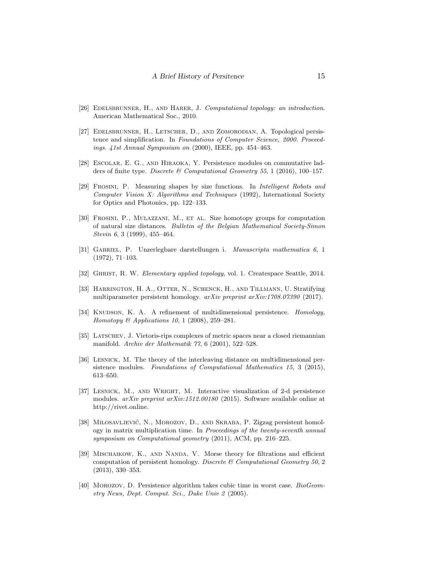- [26] EDELSBRUNNER, H., AND HARER, J. Computational topology: an introduction. American Mathematical Soc., 2010.
- [27] Edelsbrunner, H., Letscher, D., and Zomorodian, A. Topological persistence and simplification. In Foundations of Computer Science, 2000. Proceedings. 41st Annual Symposium on (2000), IEEE, pp. 454–463.
- [28] Escolar, E. G., and Hiraoka, Y. Persistence modules on commutative ladders of finite type. Discrete & Computational Geometry 55, 1 (2016), 100-157.
- [29] Frosini, P. Measuring shapes by size functions. In Intelligent Robots and Computer Vision X: Algorithms and Techniques (1992), International Society for Optics and Photonics, pp. 122–133.
- [30] Frosini, P., Mulazzani, M., et al. Size homotopy groups for computation of natural size distances. Bulletin of the Belgian Mathematical Society-Simon Stevin 6, 3 (1999), 455–464.
- [31] Gabriel, P. Unzerlegbare darstellungen i. Manuscripta mathematica 6, 1 (1972), 71–103.
- [32] Ghrist, R. W. Elementary applied topology, vol. 1. Createspace Seattle, 2014.
- [33] HARRINGTON, H. A., OTTER, N., SCHENCK, H., AND TILLMANN, U. Stratifying multiparameter persistent homology. arXiv preprint arXiv:1708.07390 (2017).
- [34] KNUDSON, K. A. A refinement of multidimensional persistence. Homology, Homotopy & Applications 10, 1 (2008), 259–281.
- [35] Latschev, J. Vietoris-rips complexes of metric spaces near a closed riemannian manifold. Archiv der Mathematik 77, 6 (2001), 522–528.
- [36] Lesnick, M. The theory of the interleaving distance on multidimensional persistence modules. Foundations of Computational Mathematics 15, 3 (2015), 613–650.
- [37] Lesnick, M., and Wright, M. Interactive visualization of 2-d persistence modules. *arXiv preprint arXiv:1512.00180* (2015). Software available online at http://rivet.online.
- [38] MILOSAVLJEVIĆ, N., MOROZOV, D., AND SKRABA, P. Zigzag persistent homology in matrix multiplication time. In Proceedings of the twenty-seventh annual symposium on Computational geometry (2011), ACM, pp. 216–225.
- [39] Mischaikow, K., and Nanda, V. Morse theory for filtrations and efficient computation of persistent homology. Discrete & Computational Geometry 50, 2 (2013), 330–353.
- [40] Morozov, D. Persistence algorithm takes cubic time in worst case. BioGeometry News, Dept. Comput. Sci., Duke Univ 2 (2005).